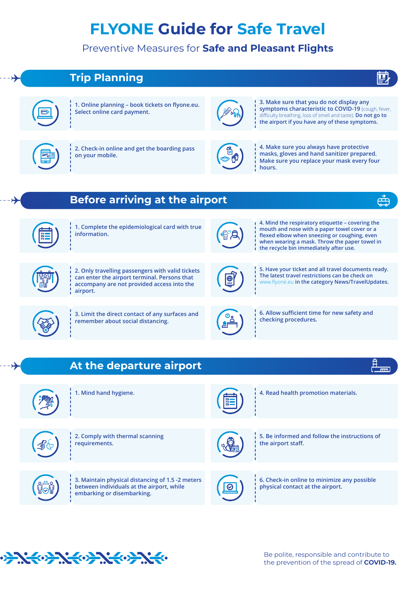## **FLYONE Guide for Safe Travel**

Preventive Measures for **Safe and Pleasant Flights**





**1. Online planning – book tickets on flyone.eu. Select online card payment.**



**3. Make sure that you do not display any symptoms characteristic to COVID-19** (cough, fever, difficulty breathing, loss of smell and taste). **Do not go to the airport if you have any of these symptoms.** 

蘴



**2. Check-in online and get the boarding pass on your mobile.**



**4. Make sure you always have protective masks, gloves and hand sanitizer prepared. Make sure you replace your mask every four hours.**



**Before arriving at the airport**

**1. Complete the epidemiological card with true information.**



**4. Mind the respiratory etiquette – covering the mouth and nose with a paper towel cover or a flexed elbow when sneezing or coughing, even when wearing a mask. Throw the paper towel in the recycle bin immediately after use.** 



**2. Only travelling passengers with valid tickets can enter the airport terminal. Persons that accompany are not provided access into the airport.** 

**checking procedures. 3. Limit the direct contact of any surfaces and remember about social distancing.**



**5. Have your ticket and all travel documents ready. The latest travel restrictions can be check on**  www.flyone.eu **in the category News/TravelUpdates.**



**6. Allow sufficient time for new safety and** 

## **At the departure airport**





**1. Mind hand hygiene. 4. Read health promotion materials.**



**2. Comply with thermal scanning requirements.**

**3. Maintain physical distancing of 1.5 -2 meters between individuals at the airport, while embarking or disembarking.**



**5. Be informed and follow the instructions of the airport staff.** 



**6. Check-in online to minimize any possible physical contact at the airport.** 



Be polite, responsible and contribute to the prevention of the spread of **COVID-19.**